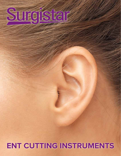# Surgistar

## **ENT CUTTING INSTRUMENTS**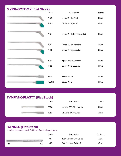#### **MYRINGOTOMY (Flat Stock)**

| Code  | Description                | Contents |
|-------|----------------------------|----------|
| 7100  | Lance Blade, Adult         | 6/Box    |
| 7100H | Lance Knife, Adult         | 6/Box    |
| 7110  | Lance Blade Reverse, Adult | 6/Box    |
| 7121  | Lance Blade, Juvenile      | 6/Box    |
| 7124  | Lance Knife, Juvenile      | 6/Box    |
| 7120  | Spear Blade. Juvenile      | 6/Box    |
| 7122  | Spear Knife. Juvenile      | 6/Box    |
| 7300  | Sickle Blade               | 6/Box    |
| 7300H | Sickle Knife               | 6/Box    |

#### **TYMPANOPLASTY (Flat Stock)**



#### **HANDLE (Flat Stock)**

Handle accommodates all Flat Stock Blades pictured above.

|                                                                                                                        |      | Code | Description             | Contents |
|------------------------------------------------------------------------------------------------------------------------|------|------|-------------------------|----------|
| <u> La componenta de la componenta de la componenta de la componenta de la componenta de la componenta de la compo</u> |      | 1310 | 10cm Length with Collet | $1/B$ ag |
| 1310                                                                                                                   | 1305 | 1305 | Replacement Collet Only | $1/B$ ag |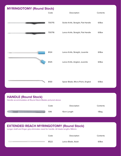#### **MYRINGOTOMY (Round Stock)**



#### **HANDLE (Round Stock)**

Handle accommodates all Round Stock Blades pictured above.

|    | Code | Description | Contents |
|----|------|-------------|----------|
| W. | 1318 | 10cm Length | 1/Bag    |

### **EXTENDED REACH MYRINGOTOMY (Round Stock)**

Longer shaft and finger grip eliminates need for handle. All blade lengths 166mm.

| Code | Description        | Contents |
|------|--------------------|----------|
| 8522 | Lance Blade, Adult | 6/Box    |